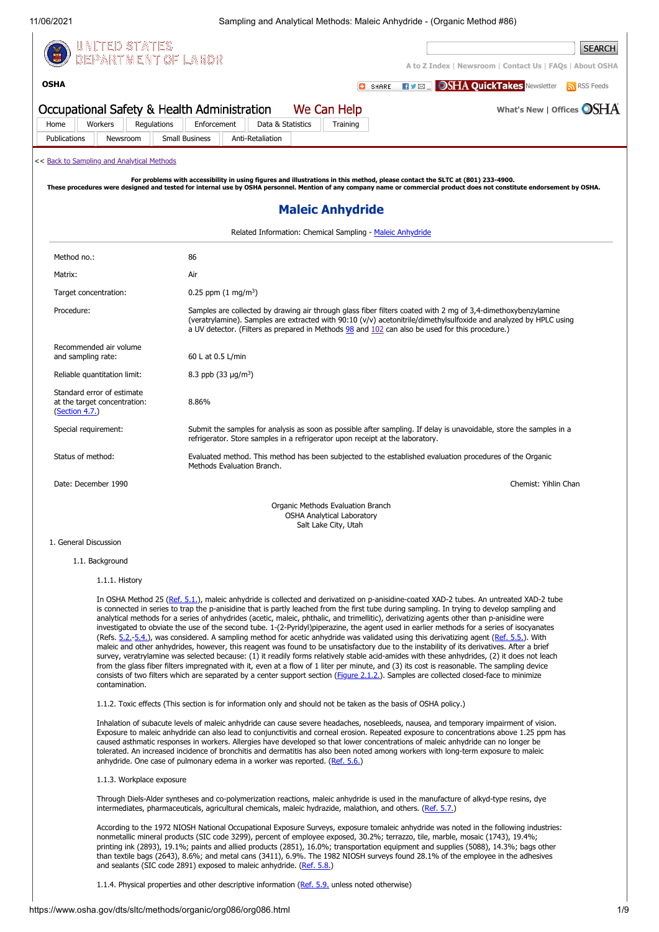**[OSHA](https://www.osha.gov/)**

11/06/2021 Sampling and Analytical Methods: Maleic Anhydride - (Organic Method #86)



**[A to Z Index](https://www.osha.gov/a-z)** | **[Newsroom](https://www.osha.gov/news)** | **[Contact Us](https://www.osha.gov/contactus)** | **[FAQs](https://www.osha.gov/faq)** | **[About OSHA](https://www.osha.gov/aboutosha) C**SHARE **RIVER OSHA QuickTakes** [Newsletter](https://www.osha.gov/quicktakes/) **N** [RSS Feeds](https://www.osha.gov/rss/) Occupational Safety & Health Administration **[What's New](https://www.osha.gov/whatsnew)** | **[Offices](https://www.osha.gov/contactus/bystate)** We Can Help [Home](https://www.osha.gov/) [Workers](https://www.osha.gov/workers) [Regulations](https://www.osha.gov/laws-regs) [Enforcement](https://www.osha.gov/enforcement) [Data & Statistics](https://www.osha.gov/data) [Training](https://www.osha.gov/training) [Publications](https://www.osha.gov/publications) [Newsroom](https://www.osha.gov/news) [Small Business](https://www.osha.gov/smallbusiness) [Anti-Retaliation](https://www.whistleblowers.gov/) << [Back to Sampling and Analytical Methods](https://www.osha.gov/dts/sltc/methods/index.html) For problems with accessibility in using figures and illustrations in this method, please contact the SLTC at (801) 233-4900.<br>These procedures were designed and tested for internal use by OSHA personnel. Mention of any com **Maleic Anhydride**

| Related Information: Chemical Sampling - Maleic Anhydride                    |                                                                                                                                                                                                                                                                                                                                       |  |  |  |
|------------------------------------------------------------------------------|---------------------------------------------------------------------------------------------------------------------------------------------------------------------------------------------------------------------------------------------------------------------------------------------------------------------------------------|--|--|--|
| Method no.:                                                                  | 86                                                                                                                                                                                                                                                                                                                                    |  |  |  |
| Matrix:                                                                      | Air                                                                                                                                                                                                                                                                                                                                   |  |  |  |
| Target concentration:                                                        | 0.25 ppm $(1 \text{ mg/m}^3)$                                                                                                                                                                                                                                                                                                         |  |  |  |
| Procedure:                                                                   | Samples are collected by drawing air through glass fiber filters coated with 2 mg of 3,4-dimethoxybenzylamine<br>(veratrylamine). Samples are extracted with 90:10 (v/v) acetonitrile/dimethylsulfoxide and analyzed by HPLC using<br>a UV detector. (Filters as prepared in Methods 98 and 102 can also be used for this procedure.) |  |  |  |
| Recommended air volume<br>and sampling rate:                                 | 60 L at 0.5 L/min                                                                                                                                                                                                                                                                                                                     |  |  |  |
| Reliable quantitation limit:                                                 | 8.3 ppb $(33 \mu q/m^3)$                                                                                                                                                                                                                                                                                                              |  |  |  |
| Standard error of estimate<br>at the target concentration:<br>(Section 4.7.) | 8.86%                                                                                                                                                                                                                                                                                                                                 |  |  |  |
| Special requirement:                                                         | Submit the samples for analysis as soon as possible after sampling. If delay is unavoidable, store the samples in a<br>refrigerator. Store samples in a refrigerator upon receipt at the laboratory.                                                                                                                                  |  |  |  |
| Status of method:                                                            | Evaluated method. This method has been subjected to the established evaluation procedures of the Organic<br>Methods Evaluation Branch.                                                                                                                                                                                                |  |  |  |
| Date: December 1990                                                          | Chemist: Yihlin Chan                                                                                                                                                                                                                                                                                                                  |  |  |  |
|                                                                              | Organic Methods Evaluation Branch<br><b>OSHA Analytical Laboratory</b><br>Salt Lake City, Utah                                                                                                                                                                                                                                        |  |  |  |

# 1. General Discussion

# 1.1. Background

1.1.1. History

In OSHA Method 25 [\(Ref. 5.1.\)](#page-8-0), maleic anhydride is collected and derivatized on p-anisidine-coated XAD-2 tubes. An untreated XAD-2 tube is connected in series to trap the p-anisidine that is partly leached from the first tube during sampling. In trying to develop sampling and analytical methods for a series of anhydrides (acetic, maleic, phthalic, and trimellitic), derivatizing agents other than p-anisidine were investigated to obviate the use of the second tube. 1-(2-Pyridyl)piperazine, the agent used in earlier methods for a series of isocyanates (Refs. [5.2.](#page-8-1)-[5.4.](#page-8-2)), was considered. A sampling method for acetic anhydride was validated using this derivatizing agent [\(Ref. 5.5.](#page-8-3)). With maleic and other anhydrides, however, this reagent was found to be unsatisfactory due to the instability of its derivatives. After a brief survey, veratrylamine was selected because: (1) it readily forms relatively stable acid-amides with these anhydrides, (2) it does not leach from the glass fiber filters impregnated with it, even at a flow of 1 liter per minute, and (3) its cost is reasonable. The sampling device consists of two filters which are separated by a center support section ([Figure 2.1.2.](#page-7-0)). Samples are collected closed-face to minimize contamination.

1.1.2. Toxic effects (This section is for information only and should not be taken as the basis of OSHA policy.)

Inhalation of subacute levels of maleic anhydride can cause severe headaches, nosebleeds, nausea, and temporary impairment of vision. Exposure to maleic anhydride can also lead to conjunctivitis and corneal erosion. Repeated exposure to concentrations above 1.25 ppm has caused asthmatic responses in workers. Allergies have developed so that lower concentrations of maleic anhydride can no longer be tolerated. An increased incidence of bronchitis and dermatitis has also been noted among workers with long-term exposure to maleic anhydride. One case of pulmonary edema in a worker was reported. ([Ref. 5.6.](#page-8-4))

# 1.1.3. Workplace exposure

Through Diels-Alder syntheses and co-polymerization reactions, maleic anhydride is used in the manufacture of alkyd-type resins, dye intermediates, pharmaceuticals, agricultural chemicals, maleic hydrazide, malathion, and others. ([Ref. 5.7.\)](#page-8-5)

According to the 1972 NIOSH National Occupational Exposure Surveys, exposure tomaleic anhydride was noted in the following industries: nonmetallic mineral products (SIC code 3299), percent of employee exposed, 30.2%; terrazzo, tile, marble, mosaic (1743), 19.4%; printing ink (2893), 19.1%; paints and allied products (2851), 16.0%; transportation equipment and supplies (5088), 14.3%; bags other than textile bags (2643), 8.6%; and metal cans (3411), 6.9%. The 1982 NIOSH surveys found 28.1% of the employee in the adhesives and sealants (SIC code 2891) exposed to maleic anhydride. ([Ref. 5.8.\)](#page-8-6)

1.1.4. Physical properties and other descriptive information [\(Ref. 5.9.](#page-8-7) unless noted otherwise)

**SEARCH**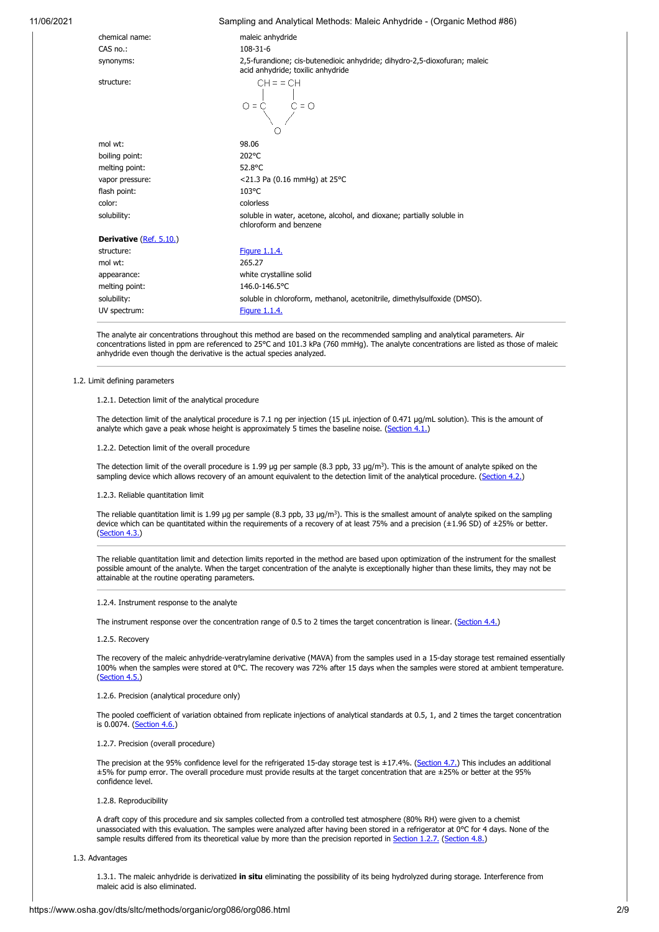| 11/06/2021 | Sampling and Analytical Methods: Maleic Anhydride - (Organic Method #86) |  |
|------------|--------------------------------------------------------------------------|--|
|            |                                                                          |  |

| chemical name:          | maleic anhydride                                                                                               |  |  |  |
|-------------------------|----------------------------------------------------------------------------------------------------------------|--|--|--|
| CAS no.:                | $108 - 31 - 6$                                                                                                 |  |  |  |
| synonyms:               | 2,5-furandione; cis-butenedioic anhydride; dihydro-2,5-dioxofuran; maleic<br>acid anhydride; toxilic anhydride |  |  |  |
| structure:              | $CH = = CH$<br>$0 = C \begin{pmatrix} 1 & 1 \\ 0 & 0 \\ 0 & 0 \end{pmatrix} = 0$                               |  |  |  |
| mol wt:                 | 98.06                                                                                                          |  |  |  |
| boiling point:          | 202°C                                                                                                          |  |  |  |
| melting point:          | 52.8°C                                                                                                         |  |  |  |
| vapor pressure:         | <21.3 Pa (0.16 mmHg) at 25°C                                                                                   |  |  |  |
| flash point:            | 103°C                                                                                                          |  |  |  |
| color:                  | colorless                                                                                                      |  |  |  |
| solubility:             | soluble in water, acetone, alcohol, and dioxane; partially soluble in<br>chloroform and benzene                |  |  |  |
| Derivative (Ref. 5.10.) |                                                                                                                |  |  |  |
| structure:              | <b>Figure 1.1.4.</b>                                                                                           |  |  |  |
| mol wt:                 | 265.27                                                                                                         |  |  |  |
| appearance:             | white crystalline solid                                                                                        |  |  |  |
| melting point:          | 146.0-146.5°C                                                                                                  |  |  |  |
| solubility:             | soluble in chloroform, methanol, acetonitrile, dimethylsulfoxide (DMSO).                                       |  |  |  |
| UV spectrum:            | <b>Figure 1.1.4.</b>                                                                                           |  |  |  |
|                         |                                                                                                                |  |  |  |

The analyte air concentrations throughout this method are based on the recommended sampling and analytical parameters. Air concentrations listed in ppm are referenced to 25°C and 101.3 kPa (760 mmHg). The analyte concentrations are listed as those of maleic anhydride even though the derivative is the actual species analyzed.

# 1.2. Limit defining parameters

# 1.2.1. Detection limit of the analytical procedure

The detection limit of the analytical procedure is 7.1 ng per injection (15 µL injection of 0.471 µg/mL solution). This is the amount of analyte which gave a peak whose height is approximately 5 times the baseline noise. [\(Section 4.1.](#page-3-0))

1.2.2. Detection limit of the overall procedure

The detection limit of the overall procedure is 1.99 µg per sample (8.3 ppb, 33 µg/m<sup>3</sup>). This is the amount of analyte spiked on the sampling device which allows recovery of an amount equivalent to the detection limit of the analytical procedure. [\(Section 4.2.](#page-3-1))

1.2.3. Reliable quantitation limit

The reliable quantitation limit is 1.99 µg per sample (8.3 ppb, 33 µg/m<sup>3</sup>). This is the smallest amount of analyte spiked on the sampling device which can be quantitated within the requirements of a recovery of at least 75% and a precision (±1.96 SD) of ±25% or better. [\(Section 4.3.](#page-4-0))

The reliable quantitation limit and detection limits reported in the method are based upon optimization of the instrument for the smallest possible amount of the analyte. When the target concentration of the analyte is exceptionally higher than these limits, they may not be attainable at the routine operating parameters.

1.2.4. Instrument response to the analyte

The instrument response over the concentration range of 0.5 to 2 times the target concentration is linear. [\(Section 4.4.](#page-4-1))

1.2.5. Recovery

The recovery of the maleic anhydride-veratrylamine derivative (MAVA) from the samples used in a 15-day storage test remained essentially 100% when the samples were stored at 0°C. The recovery was 72% after 15 days when the samples were stored at ambient temperature. [\(Section 4.5.](#page-4-2))

1.2.6. Precision (analytical procedure only)

The pooled coefficient of variation obtained from replicate injections of analytical standards at 0.5, 1, and 2 times the target concentration is 0.0074. [\(Section 4.6.\)](#page-4-3)

# <span id="page-1-0"></span>1.2.7. Precision (overall procedure)

The precision at the 95% confidence level for the refrigerated 15-day storage test is ±17.4%. [\(Section 4.7.\)](#page-5-0) This includes an additional ±5% for pump error. The overall procedure must provide results at the target concentration that are ±25% or better at the 95% confidence level.

1.2.8. Reproducibility

A draft copy of this procedure and six samples collected from a controlled test atmosphere (80% RH) were given to a chemist unassociated with this evaluation. The samples were analyzed after having been stored in a refrigerator at 0°C for 4 days. None of the sample results differed from its theoretical value by more than the precision reported in [Section 1.2.7.](#page-1-0) ([Section 4.8.\)](#page-5-1)

1.3. Advantages

1.3.1. The maleic anhydride is derivatized **in situ** eliminating the possibility of its being hydrolyzed during storage. Interference from maleic acid is also eliminated.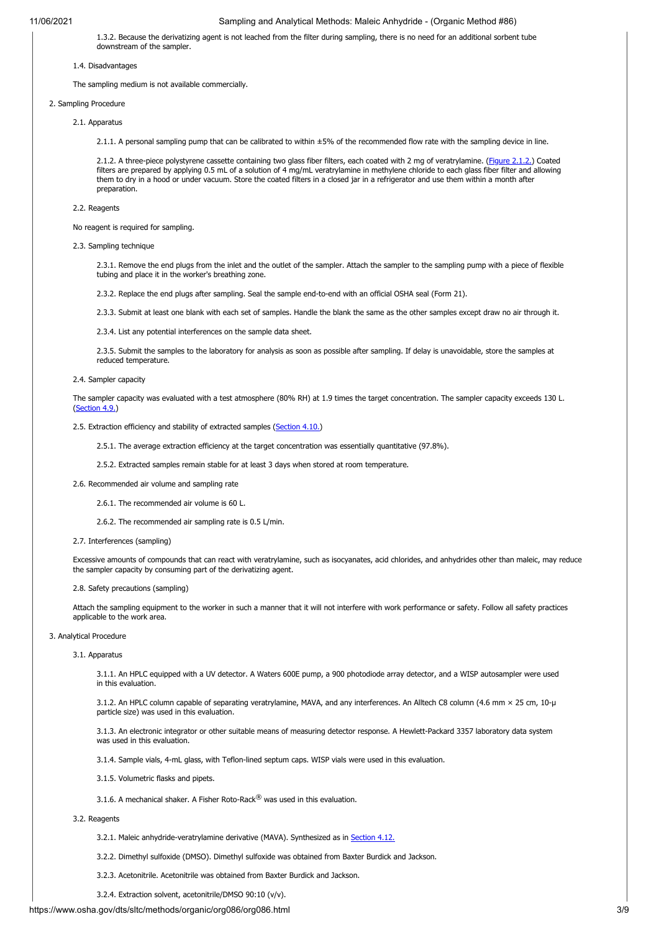1.3.2. Because the derivatizing agent is not leached from the filter during sampling, there is no need for an additional sorbent tube downstream of the sampler.

### 1.4. Disadvantages

The sampling medium is not available commercially.

# 2. Sampling Procedure

### 2.1. Apparatus

2.1.1. A personal sampling pump that can be calibrated to within ±5% of the recommended flow rate with the sampling device in line.

2.1.2. A three-piece polystyrene cassette containing two glass fiber filters, each coated with 2 mg of veratrylamine. ([Figure 2.1.2.\)](#page-7-0) Coated filters are prepared by applying 0.5 mL of a solution of 4 mg/mL veratrylamine in methylene chloride to each glass fiber filter and allowing them to dry in a hood or under vacuum. Store the coated filters in a closed jar in a refrigerator and use them within a month after preparation.

#### 2.2. Reagents

No reagent is required for sampling.

2.3. Sampling technique

2.3.1. Remove the end plugs from the inlet and the outlet of the sampler. Attach the sampler to the sampling pump with a piece of flexible tubing and place it in the worker's breathing zone.

2.3.2. Replace the end plugs after sampling. Seal the sample end-to-end with an official OSHA seal (Form 21).

2.3.3. Submit at least one blank with each set of samples. Handle the blank the same as the other samples except draw no air through it.

2.3.4. List any potential interferences on the sample data sheet.

2.3.5. Submit the samples to the laboratory for analysis as soon as possible after sampling. If delay is unavoidable, store the samples at reduced temperature.

# 2.4. Sampler capacity

The sampler capacity was evaluated with a test atmosphere (80% RH) at 1.9 times the target concentration. The sampler capacity exceeds 130 L. ([Section 4.9.\)](#page-5-2)

#### 2.5. Extraction efficiency and stability of extracted samples [\(Section 4.10.\)](#page-5-3)

2.5.1. The average extraction efficiency at the target concentration was essentially quantitative (97.8%).

2.5.2. Extracted samples remain stable for at least 3 days when stored at room temperature.

- 2.6. Recommended air volume and sampling rate
	- 2.6.1. The recommended air volume is 60 L.
	- 2.6.2. The recommended air sampling rate is 0.5 L/min.

# 2.7. Interferences (sampling)

Excessive amounts of compounds that can react with veratrylamine, such as isocyanates, acid chlorides, and anhydrides other than maleic, may reduce the sampler capacity by consuming part of the derivatizing agent.

### 2.8. Safety precautions (sampling)

Attach the sampling equipment to the worker in such a manner that it will not interfere with work performance or safety. Follow all safety practices applicable to the work area.

# 3. Analytical Procedure

#### 3.1. Apparatus

3.1.1. An HPLC equipped with a UV detector. A Waters 600E pump, a 900 photodiode array detector, and a WISP autosampler were used in this evaluation.

3.1.2. An HPLC column capable of separating veratrylamine, MAVA, and any interferences. An Alltech C8 column (4.6 mm × 25 cm, 10-µ particle size) was used in this evaluation.

3.1.3. An electronic integrator or other suitable means of measuring detector response. A Hewlett-Packard 3357 laboratory data system was used in this evaluation.

3.1.4. Sample vials, 4-mL glass, with Teflon-lined septum caps. WISP vials were used in this evaluation.

- 3.1.5. Volumetric flasks and pipets.
- 3.1.6. A mechanical shaker. A Fisher Roto-Rack<sup>®</sup> was used in this evaluation.

#### 3.2. Reagents

- 3.2.1. Maleic anhydride-veratrylamine derivative (MAVA). Synthesized as in [Section 4.12.](#page-6-1)
- 3.2.2. Dimethyl sulfoxide (DMSO). Dimethyl sulfoxide was obtained from Baxter Burdick and Jackson.
- 3.2.3. Acetonitrile. Acetonitrile was obtained from Baxter Burdick and Jackson.
- 3.2.4. Extraction solvent, acetonitrile/DMSO 90:10 (v/v).

# https://www.osha.gov/dts/sltc/methods/organic/org086/org086.html 3/9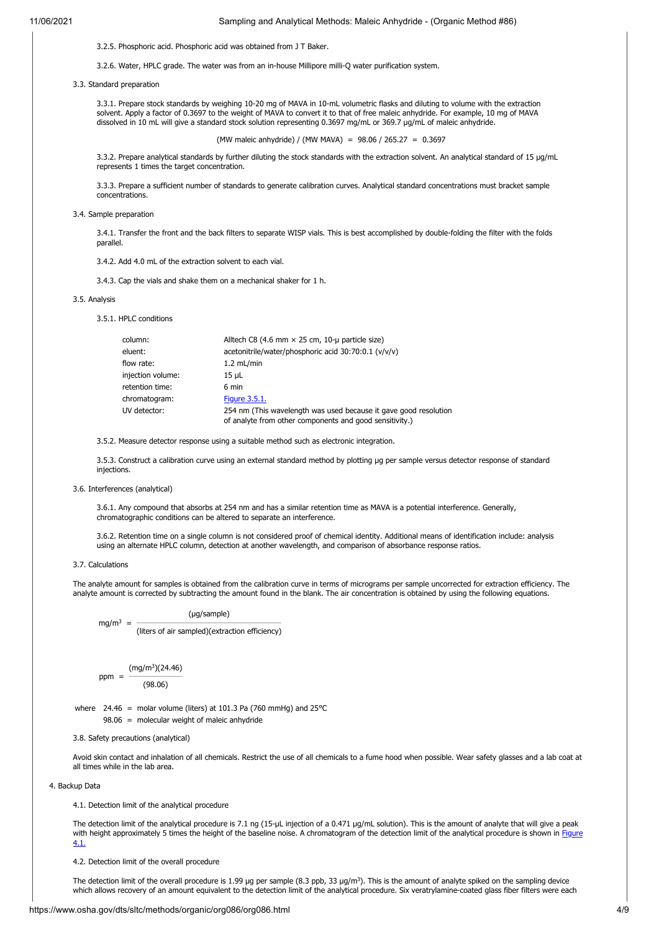3.2.5. Phosphoric acid. Phosphoric acid was obtained from J T Baker.

3.2.6. Water, HPLC grade. The water was from an in-house Millipore milli-Q water purification system.

3.3. Standard preparation

3.3.1. Prepare stock standards by weighing 10-20 mg of MAVA in 10-mL volumetric flasks and diluting to volume with the extraction solvent. Apply a factor of 0.3697 to the weight of MAVA to convert it to that of free maleic anhydride. For example, 10 mg of MAVA dissolved in 10 mL will give a standard stock solution representing 0.3697 mg/mL or 369.7 µg/mL of maleic anhydride.

(MW maleic anhydride) / (MW MAVA) = 98.06 / 265.27 = 0.3697

3.3.2. Prepare analytical standards by further diluting the stock standards with the extraction solvent. An analytical standard of 15 µg/mL represents 1 times the target concentration.

3.3.3. Prepare a sufficient number of standards to generate calibration curves. Analytical standard concentrations must bracket sample concentrations.

3.4. Sample preparation

3.4.1. Transfer the front and the back filters to separate WISP vials. This is best accomplished by double-folding the filter with the folds parallel.

3.4.2. Add 4.0 mL of the extraction solvent to each vial.

3.4.3. Cap the vials and shake them on a mechanical shaker for 1 h.

#### 3.5. Analysis

3.5.1. HPLC conditions

| column:           | Alltech C8 (4.6 mm $\times$ 25 cm, 10-µ particle size)                                                                      |
|-------------------|-----------------------------------------------------------------------------------------------------------------------------|
| eluent:           | acetonitrile/water/phosphoric acid 30:70:0.1 (v/v/v)                                                                        |
| flow rate:        | $1.2$ mL/min                                                                                                                |
| injection volume: | 15 uL                                                                                                                       |
| retention time:   | 6 min                                                                                                                       |
| chromatogram:     | <b>Figure 3.5.1.</b>                                                                                                        |
| UV detector:      | 254 nm (This wavelength was used because it gave good resolution<br>of analyte from other components and good sensitivity.) |

3.5.2. Measure detector response using a suitable method such as electronic integration.

3.5.3. Construct a calibration curve using an external standard method by plotting ug per sample versus detector response of standard injections.

### 3.6. Interferences (analytical)

3.6.1. Any compound that absorbs at 254 nm and has a similar retention time as MAVA is a potential interference. Generally, chromatographic conditions can be altered to separate an interference.

3.6.2. Retention time on a single column is not considered proof of chemical identity. Additional means of identification include: analysis using an alternate HPLC column, detection at another wavelength, and comparison of absorbance response ratios.

3.7. Calculations

The analyte amount for samples is obtained from the calibration curve in terms of micrograms per sample uncorrected for extraction efficiency. The analyte amount is corrected by subtracting the amount found in the blank. The air concentration is obtained by using the following equations.

(µg/sample)

 $mg/m^3 =$ (liters of air sampled)(extraction efficiency)

 $ppm =$ (mg/m<sup>3</sup> )(24.46)

(98.06)

where  $24.46$  = molar volume (liters) at 101.3 Pa (760 mmHg) and 25°C 98.06 = molecular weight of maleic anhydride

3.8. Safety precautions (analytical)

Avoid skin contact and inhalation of all chemicals. Restrict the use of all chemicals to a fume hood when possible. Wear safety glasses and a lab coat at all times while in the lab area.

# 4. Backup Data

<span id="page-3-0"></span>4.1. Detection limit of the analytical procedure

The detection limit of the analytical procedure is 7.1 ng (15-µL injection of a 0.471 µg/mL solution). This is the amount of analyte that will give a peak [with height approximately 5 times the height of the baseline noise. A chromatogram of the detection limit of the analytical procedure is shown in Figure](#page-7-2) 4.1.

<span id="page-3-1"></span>4.2. Detection limit of the overall procedure

The detection limit of the overall procedure is 1.99 µg per sample (8.3 ppb, 33 µg/m<sup>3</sup>). This is the amount of analyte spiked on the sampling device which allows recovery of an amount equivalent to the detection limit of the analytical procedure. Six veratrylamine-coated glass fiber filters were each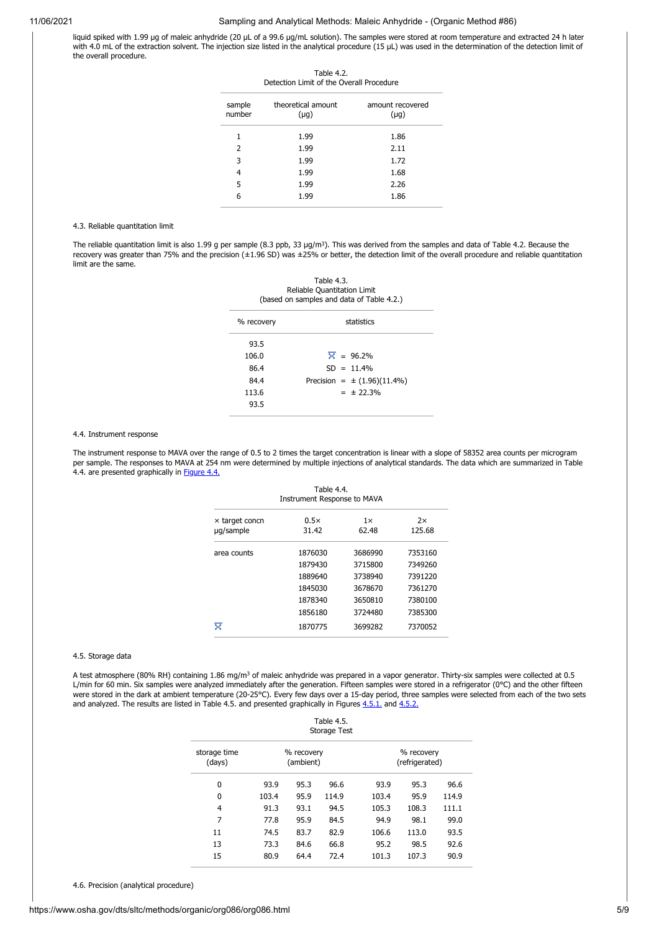liquid spiked with 1.99 µg of maleic anhydride (20 µL of a 99.6 µg/mL solution). The samples were stored at room temperature and extracted 24 h later with 4.0 mL of the extraction solvent. The injection size listed in the analytical procedure (15 µL) was used in the determination of the detection limit of the overall procedure.

Table 4.2.

| Detection Limit of the Overall Procedure |                                 |                               |  |
|------------------------------------------|---------------------------------|-------------------------------|--|
| sample<br>number                         | theoretical amount<br>$(\mu q)$ | amount recovered<br>$(\mu q)$ |  |
| 1                                        | 1.99                            | 1.86                          |  |
| $\mathcal{P}$                            | 1.99                            | 2.11                          |  |
| 3                                        | 1.99                            | 1.72                          |  |
| 4                                        | 1.99                            | 1.68                          |  |
| 5                                        | 1.99                            | 2.26                          |  |
| ĥ                                        | 1.99                            | 1.86                          |  |

#### <span id="page-4-0"></span>4.3. Reliable quantitation limit

The reliable quantitation limit is also 1.99 g per sample (8.3 ppb, 33 µg/m<sup>3</sup>). This was derived from the samples and data of Table 4.2. Because the recovery was greater than 75% and the precision (±1.96 SD) was ±25% or better, the detection limit of the overall procedure and reliable quantitation limit are the same.

Table 4.3.

| Reliable Quantitation Limit<br>(based on samples and data of Table 4.2.) |                                 |  |  |  |  |
|--------------------------------------------------------------------------|---------------------------------|--|--|--|--|
| % recovery                                                               | statistics                      |  |  |  |  |
| 93.5                                                                     |                                 |  |  |  |  |
| 106.0                                                                    | $\overline{X}$ = 96.2%          |  |  |  |  |
| 86.4                                                                     | $SD = 11.4%$                    |  |  |  |  |
| 84.4                                                                     | Precision = $\pm$ (1.96)(11.4%) |  |  |  |  |
| 113.6                                                                    | $= 12.3\%$                      |  |  |  |  |
| 93.5                                                                     |                                 |  |  |  |  |

#### <span id="page-4-1"></span>4.4. Instrument response

The instrument response to MAVA over the range of 0.5 to 2 times the target concentration is linear with a slope of 58352 area counts per microgram per sample. The responses to MAVA at 254 nm were determined by multiple injections of analytical standards. The data which are summarized in Table 4.4. are presented graphically in [Figure 4.4.](#page-7-3)

| Table 4.4.<br><b>Instrument Response to MAVA</b> |                      |                    |              |  |
|--------------------------------------------------|----------------------|--------------------|--------------|--|
| $\times$ target concn<br>ug/sample               | $0.5\times$<br>31.42 | $1\times$<br>62.48 | 2x<br>125.68 |  |
| area counts                                      | 1876030              | 3686990            | 7353160      |  |
|                                                  | 1879430              | 3715800            | 7349260      |  |
|                                                  | 1889640              | 3738940            | 7391220      |  |
|                                                  | 1845030              | 3678670            | 7361270      |  |
|                                                  | 1878340              | 3650810            | 7380100      |  |
|                                                  | 1856180              | 3724480            | 7385300      |  |
| ≅                                                | 1870775              | 3699282            | 7370052      |  |

### <span id="page-4-2"></span>4.5. Storage data

A test atmosphere (80% RH) containing 1.86 mg/m<sup>3</sup> of maleic anhydride was prepared in a vapor generator. Thirty-six samples were collected at 0.5 L/min for 60 min. Six samples were analyzed immediately after the generation. Fifteen samples were stored in a refrigerator (0°C) and the other fifteen were stored in the dark at ambient temperature (20-25°C). Every few days over a 15-day period, three samples were selected from each of the two sets and analyzed. The results are listed in Table 4.5. and presented graphically in Figures [4.5.1.](#page-8-9) and [4.5.2.](#page-8-10)

| Table 4.5.<br><b>Storage Test</b> |       |                         |       |       |                              |       |
|-----------------------------------|-------|-------------------------|-------|-------|------------------------------|-------|
| storage time<br>(days)            |       | % recovery<br>(ambient) |       |       | % recovery<br>(refrigerated) |       |
| 0                                 | 93.9  | 95.3                    | 96.6  | 93.9  | 95.3                         | 96.6  |
| $\mathbf{0}$                      | 103.4 | 95.9                    | 114.9 | 103.4 | 95.9                         | 114.9 |
| 4                                 | 91.3  | 93.1                    | 94.5  | 105.3 | 108.3                        | 111.1 |
| 7                                 | 77.8  | 95.9                    | 84.5  | 94.9  | 98.1                         | 99.0  |
| 11                                | 74.5  | 83.7                    | 82.9  | 106.6 | 113.0                        | 93.5  |
| 13                                | 73.3  | 84.6                    | 66.8  | 95.2  | 98.5                         | 92.6  |
| 15                                | 80.9  | 64.4                    | 72.4  | 101.3 | 107.3                        | 90.9  |
|                                   |       |                         |       |       |                              |       |

<span id="page-4-3"></span>4.6. Precision (analytical procedure)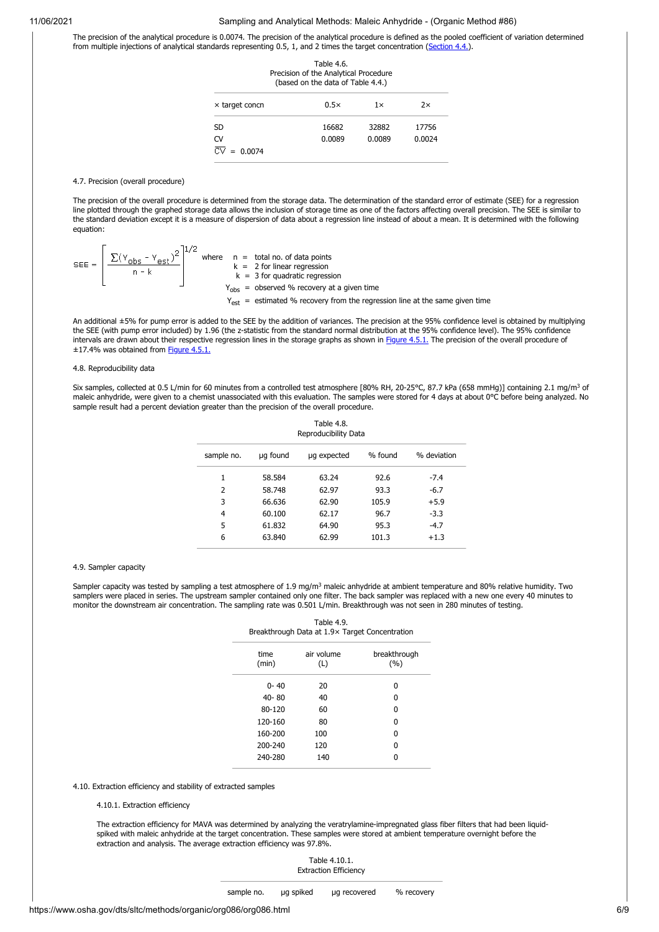The precision of the analytical procedure is 0.0074. The precision of the analytical procedure is defined as the pooled coefficient of variation determined from multiple injections of analytical standards representing 0.5, 1, and 2 times the target concentration [\(Section 4.4.](#page-4-1)).

| Table 4.6.<br>Precision of the Analytical Procedure<br>(based on the data of Table 4.4.) |        |           |        |  |
|------------------------------------------------------------------------------------------|--------|-----------|--------|--|
| $\times$ target concn                                                                    | 0.5x   | $1\times$ | 2x     |  |
| SD                                                                                       | 16682  | 32882     | 17756  |  |
| CV                                                                                       | 0.0089 | 0.0089    | 0.0024 |  |
| $= 0.0074$                                                                               |        |           |        |  |

#### <span id="page-5-0"></span>4.7. Precision (overall procedure)

The precision of the overall procedure is determined from the storage data. The determination of the standard error of estimate (SEE) for a regression line plotted through the graphed storage data allows the inclusion of storage time as one of the factors affecting overall precision. The SEE is similar to the standard deviation except it is a measure of dispersion of data about a regression line instead of about a mean. It is determined with the following equation:

$$
SEE = \left[\frac{\sum (Y_{obs} - Y_{est})^2}{n - k}\right]^{1/2}
$$
 where  $n = \text{total no. of data points}$   
\n $k = 2 \text{ for linear regression}$   
\n $k = 3 \text{ for quadratic regression}$   
\n $Y_{obs} = \text{observed } \% \text{ recovery at a given time}$   
\n $Y_{est} = \text{estimated } \% \text{ recovery from the regression line at the same given time}$ 

An additional ±5% for pump error is added to the SEE by the addition of variances. The precision at the 95% confidence level is obtained by multiplying the SEE (with pump error included) by 1.96 (the z-statistic from the standard normal distribution at the 95% confidence level). The 95% confidence intervals are drawn about their respective regression lines in the storage graphs as shown in [Figure 4.5.1.](#page-8-9) The precision of the overall procedure of ±17.4% was obtained from [Figure 4.5.1.](#page-8-9)

# <span id="page-5-1"></span>4.8. Reproducibility data

Six samples, collected at 0.5 L/min for 60 minutes from a controlled test atmosphere [80% RH, 20-25°C, 87.7 kPa (658 mmHg)] containing 2.1 mg/m<sup>3</sup> of maleic anhydride, were given to a chemist unassociated with this evaluation. The samples were stored for 4 days at about 0°C before being analyzed. No sample result had a percent deviation greater than the precision of the overall procedure.

| Table 4.8.<br>Reproducibility Data |          |             |         |             |
|------------------------------------|----------|-------------|---------|-------------|
| sample no.                         | ug found | ug expected | % found | % deviation |
| 1                                  | 58.584   | 63.24       | 92.6    | $-7.4$      |
| $\overline{2}$                     | 58.748   | 62.97       | 93.3    | $-6.7$      |
| 3                                  | 66.636   | 62.90       | 105.9   | $+5.9$      |
| 4                                  | 60.100   | 62.17       | 96.7    | $-3.3$      |
| 5                                  | 61.832   | 64.90       | 95.3    | $-4.7$      |
| 6                                  | 63.840   | 62.99       | 101.3   | $+1.3$      |
|                                    |          |             |         |             |

#### <span id="page-5-2"></span>4.9. Sampler capacity

Sampler capacity was tested by sampling a test atmosphere of 1.9 mg/m<sup>3</sup> maleic anhydride at ambient temperature and 80% relative humidity. Two samplers were placed in series. The upstream sampler contained only one filter. The back sampler was replaced with a new one every 40 minutes to monitor the downstream air concentration. The sampling rate was 0.501 L/min. Breakthrough was not seen in 280 minutes of testing.

| Table 4.9.<br>Breakthrough Data at 1.9× Target Concentration |                   |                     |  |  |
|--------------------------------------------------------------|-------------------|---------------------|--|--|
| time<br>(min)                                                | air volume<br>(L) | breakthrough<br>(%) |  |  |
| $0 - 40$                                                     | 20                | n                   |  |  |
| $40 - 80$                                                    | 40                | ŋ                   |  |  |
| 80-120                                                       | 60                | ŋ                   |  |  |
| 120-160                                                      | 80                | ŋ                   |  |  |
| 160-200                                                      | 100               | ŋ                   |  |  |
| 200-240                                                      | 120               | n                   |  |  |
| 240-280                                                      | 140               |                     |  |  |

<span id="page-5-3"></span>4.10. Extraction efficiency and stability of extracted samples

#### 4.10.1. Extraction efficiency

The extraction efficiency for MAVA was determined by analyzing the veratrylamine-impregnated glass fiber filters that had been liquidspiked with maleic anhydride at the target concentration. These samples were stored at ambient temperature overnight before the extraction and analysis. The average extraction efficiency was 97.8%.

> Table 4.10.1. Extraction Efficiency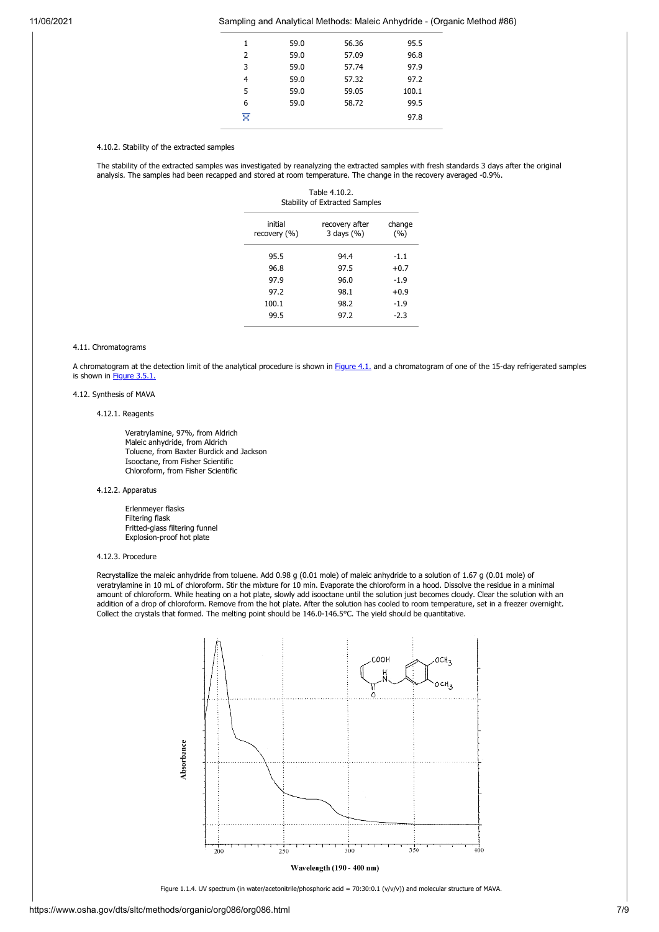| 1 | 59.0 | 56.36 | 95.5  |
|---|------|-------|-------|
| 2 | 59.0 | 57.09 | 96.8  |
| 3 | 59.0 | 57.74 | 97.9  |
| 4 | 59.0 | 57.32 | 97.2  |
| 5 | 59.0 | 59.05 | 100.1 |
| 6 | 59.0 | 58.72 | 99.5  |
| ⊽ |      |       | 97.8  |
|   |      |       |       |

4.10.2. Stability of the extracted samples

The stability of the extracted samples was investigated by reanalyzing the extracted samples with fresh standards 3 days after the original analysis. The samples had been recapped and stored at room temperature. The change in the recovery averaged -0.9%.

Table 4.10.2. Stability of Extracted Samples

| initial<br>recovery (%) | recovery after<br>3 days (%) | change<br>(%) |
|-------------------------|------------------------------|---------------|
| 95.5                    | 94.4                         | -1.1          |
| 96.8                    | 97.5                         | $+0.7$        |
| 97.9                    | 96.0                         | $-1.9$        |
| 97.2                    | 98.1                         | $+0.9$        |
| 100.1                   | 98.2                         | $-1.9$        |
| 99.5                    | 97.2                         | $-2.3$        |
|                         |                              |               |

### 4.11. Chromatograms

A chromatogram at the detection limit of the analytical procedure is shown in [Figure 4.1.](#page-7-2) and a chromatogram of one of the 15-day refrigerated samples is shown in [Figure 3.5.1.](#page-7-1)

# <span id="page-6-1"></span>4.12. Synthesis of MAVA

# 4.12.1. Reagents

 Veratrylamine, 97%, from Aldrich Maleic anhydride, from Aldrich Toluene, from Baxter Burdick and Jackson Isooctane, from Fisher Scientific Chloroform, from Fisher Scientific

# 4.12.2. Apparatus

 Erlenmeyer flasks Filtering flask Fritted-glass filtering funnel Explosion-proof hot plate

# 4.12.3. Procedure

Recrystallize the maleic anhydride from toluene. Add 0.98 g (0.01 mole) of maleic anhydride to a solution of 1.67 g (0.01 mole) of veratrylamine in 10 mL of chloroform. Stir the mixture for 10 min. Evaporate the chloroform in a hood. Dissolve the residue in a minimal amount of chloroform. While heating on a hot plate, slowly add isooctane until the solution just becomes cloudy. Clear the solution with an addition of a drop of chloroform. Remove from the hot plate. After the solution has cooled to room temperature, set in a freezer overnight. Collect the crystals that formed. The melting point should be 146.0-146.5°C. The yield should be quantitative.



Wavelength (190 - 400 nm)

<span id="page-6-0"></span>Figure 1.1.4. UV spectrum (in water/acetonitrile/phosphoric acid = 70:30:0.1 (v/v/v)) and molecular structure of MAVA.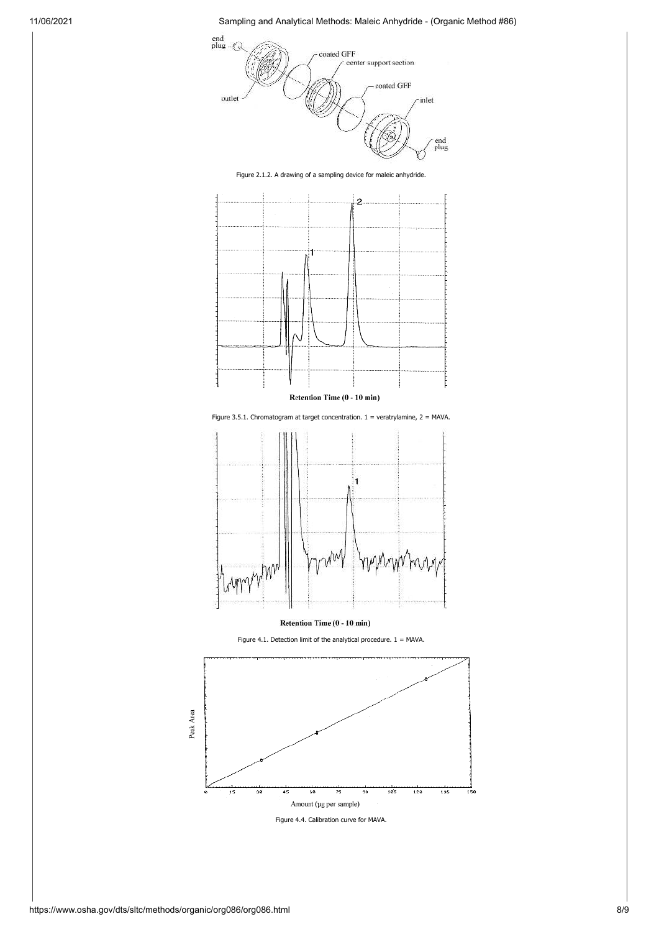

<span id="page-7-0"></span>Figure 2.1.2. A drawing of a sampling device for maleic anhydride.



Retention Time (0 - 10 min)

<span id="page-7-1"></span>Figure 3.5.1. Chromatogram at target concentration.  $1 =$  veratrylamine,  $2 =$  MAVA.



Retention Time (0 - 10 min)

<span id="page-7-2"></span>Figure 4.1. Detection limit of the analytical procedure.  $1 = MAVA$ .



<span id="page-7-3"></span>Figure 4.4. Calibration curve for MAVA.